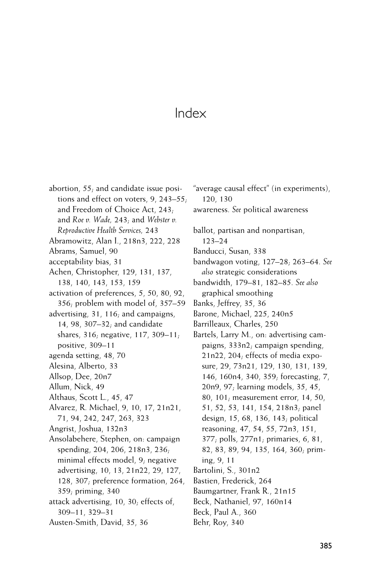abortion, 55; and candidate issue positions and effect on voters,  $9$ , 243–55; and Freedom of Choice Act, 243; and *Roe v. Wade,* 243; and *Webster v. Reproductive Health Services,* 243 Abramowitz, Alan I., 218n3, 222, 228 Abrams, Samuel, 90 acceptability bias, 31 Achen, Christopher, 129, 131, 137, 138, 140, 143, 153, 159 activation of preferences, 5, 50, 80, 92, 356; problem with model of, 357–59 advertising, 31, 116; and campaigns, 14, 98, 307–32; and candidate shares,  $316$ ; negative,  $117$ ,  $309-11$ ; positive, 309–11 agenda setting, 48, 70 Alesina, Alberto, 33 Allsop, Dee, 20n7 Allum, Nick, 49 Althaus, Scott L., 45, 47 Alvarez, R. Michael, 9, 10, 17, 21n21, 71, 94, 242, 247, 263, 323 Angrist, Joshua, 132n3 Ansolabehere, Stephen, on: campaign spending, 204, 206, 218n3, 236; minimal effects model, 9; negative advertising, 10, 13, 21n22, 29, 127, 128, 307; preference formation, 264, 359; priming, 340 attack advertising, 10, 30; effects of, 309–11, 329–31 Austen-Smith, David, 35, 36

"average causal effect" (in experiments), 120, 130 awareness. *See* political awareness

ballot, partisan and nonpartisan, 123–24

Banducci, Susan, 338

bandwagon voting, 127–28; 263–64. *See also* strategic considerations

bandwidth, 179–81, 182–85. *See also* graphical smoothing

- Banks, Jeffrey, 35, 36
- Barone, Michael, 225, 240n5
- Barrilleaux, Charles, 250
- Bartels, Larry M., on: advertising campaigns, 333n2; campaign spending, 21n22, 204; effects of media exposure, 29, 73n21, 129, 130, 131, 139,
	- 146, 160n4, 340, 359; forecasting, 7,
	- 20n9, 97; learning models, 35, 45,
	- 80, 101; measurement error, 14, 50,
	- 51, 52, 53, 141, 154, 218n3; panel
	- design, 15, 68, 136, 143; political
	- reasoning, 47, 54, 55, 72n3, 151,
	- 377; polls, 277n1; primaries, 6, 81,
	- 82, 83, 89, 94, 135, 164, 360; prim-
- ing, 9, 11
- Bartolini, S., 301n2
- Bastien, Frederick, 264
- Baumgartner, Frank R., 21n15
- Beck, Nathaniel, 97, 160n14
- Beck, Paul A., 360
- Behr, Roy, 340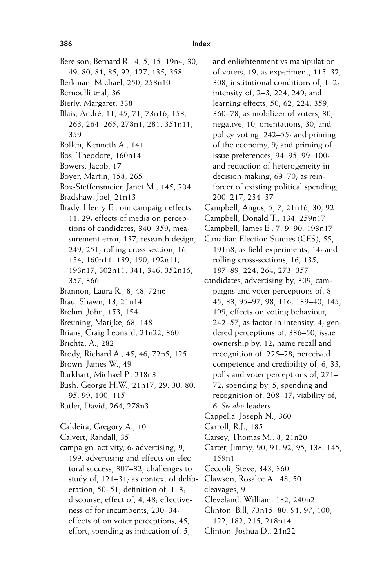- Berelson, Bernard R., 4, 5, 15, 19n4, 30, 49, 80, 81, 85, 92, 127, 135, 358 Berkman, Michael, 250, 258n10
- Bernoulli trial, 36
- Bierly, Margaret, 338
- Blais, André, 11, 45, 71, 73n16, 158, 263, 264, 265, 278n1, 281, 351n11, 359
- Bollen, Kenneth A., 141
- Bos, Theodore, 160n14
- Bowers, Jacob, 17
- Boyer, Martin, 158, 265
- Box-Steffensmeier, Janet M., 145, 204
- Bradshaw, Joel, 21n13
- Brady, Henry E., on: campaign effects, 11, 29; effects of media on perceptions of candidates, 340, 359; measurement error, 137; research design, 249, 251; rolling cross section,  $16$ , 134, 160n11, 189, 190, 192n11, 193n17, 302n11, 341, 346, 352n16, 357, 366
- Brannon, Laura R., 8, 48, 72n6
- Brau, Shawn, 13, 21n14
- Brehm, John, 153, 154
- Breuning, Marijke, 68, 148
- Brians, Craig Leonard, 21n22, 360
- Brichta, A., 282
- Brody, Richard A., 45, 46, 72n5, 125
- Brown, James W., 49
- Burkhart, Michael P., 218n3
- Bush, George H.W., 21n17, 29, 30, 80, 95, 99, 100, 115
- Butler, David, 264, 278n3
- Caldeira, Gregory A., 10
- Calvert, Randall, 35
- campaign: activity, 6; advertising, 9, 199; advertising and effects on electoral success, 307–32; challenges to study of, 121–31; as context of deliberation,  $50-51$ ; definition of,  $1-3$ ; discourse, effect of, 4, 48; effectiveness of for incumbents, 230–34; effects of on voter perceptions, 45; effort, spending as indication of, 5;

and enlightenment vs manipulation of voters, 19; as experiment, 115–32, 308; institutional conditions of, 1–2; intensity of, 2–3, 224, 249; and learning effects, 50, 62, 224, 359, 360–78; as mobilizer of voters, 30; negative, 10; orientations, 30; and policy voting, 242–55; and priming of the economy, 9; and priming of issue preferences, 94–95, 99–100; and reduction of heterogeneity in decision-making, 69–70; as reinforcer of existing political spending, 200–217, 234–37 Campbell, Angus, 5, 7, 21n16, 30, 92 Campbell, Donald T., 134, 259n17 Campbell, James E., 7, 9, 90, 193n17 Canadian Election Studies (CES), 55, 191n8; as field experiments, 14; and rolling cross-sections, 16, 135, 187–89, 224, 264, 273, 357 candidates, advertising by, 309; campaigns and voter perceptions of, 8, 45, 83, 95–97, 98, 116, 139–40, 145, 199; effects on voting behaviour,  $242-57$ ; as factor in intensity,  $4$ ; gendered perceptions of, 336–50; issue ownership by, 12; name recall and recognition of, 225–28; perceived competence and credibility of, 6, 33; polls and voter perceptions of, 271– 72; spending by, 5; spending and recognition of, 208–17; viability of, 6. *See also* leaders Cappella, Joseph N., 360 Carroll, R.J., 185 Carsey, Thomas M., 8, 21n20 Carter, Jimmy, 90, 91, 92, 95, 138, 145, 159n1 Ceccoli, Steve, 343, 360 Clawson, Rosalee A., 48, 50 cleavages, 9 Cleveland, William, 182, 240n2 Clinton, Bill, 73n15, 80, 91, 97, 100, 122, 182, 215, 218n14

Clinton, Joshua D., 21n22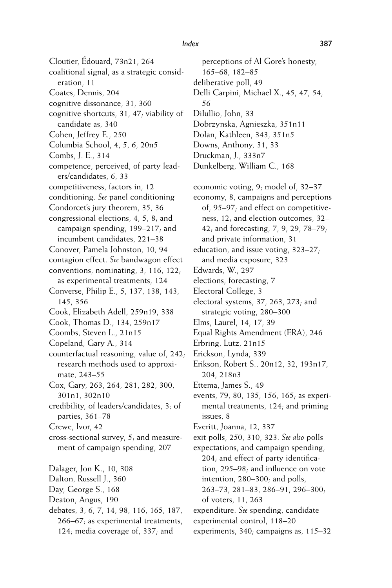Cloutier, Édouard, 73n21, 264 coalitional signal, as a strategic consideration, 11 Coates, Dennis, 204 cognitive dissonance, 31, 360 cognitive shortcuts, 31, 47; viability of candidate as, 340 Cohen, Jeffrey E., 250 Columbia School, 4, 5, 6, 20n5 Combs, J. E., 314 competence, perceived, of party leaders/candidates, 6, 33 competitiveness, factors in, 12 conditioning. *See* panel conditioning Condorcet's jury theorem, 35, 36 congressional elections, 4, 5, 8; and campaign spending, 199–217; and incumbent candidates, 221–38 Conover, Pamela Johnston, 10, 94 contagion effect. *See* bandwagon effect conventions, nominating, 3, 116, 122; as experimental treatments, 124 Converse, Philip E., 5, 137, 138, 143, 145, 356 Cook, Elizabeth Adell, 259n19, 338 Cook, Thomas D., 134, 259n17 Coombs, Steven L., 21n15 Copeland, Gary A., 314 counterfactual reasoning, value of, 242; research methods used to approximate, 243–55 Cox, Gary, 263, 264, 281, 282, 300, 301n1, 302n10 credibility, of leaders/candidates, 3; of parties, 361–78 Crewe, Ivor, 42 cross-sectional survey, 5; and measurement of campaign spending, 207 Dalager, Jon K., 10, 308 Dalton, Russell J., 360 Day, George S., 168 Deaton, Angus, 190 debates, 3, 6, 7, 14, 98, 116, 165, 187, 266–67; as experimental treatments,

124; media coverage of, 337; and

perceptions of Al Gore's honesty, 165–68, 182–85 deliberative poll, 49 Delli Carpini, Michael X., 45, 47, 54, 56 DiIullio, John, 33 Dobrzynska, Agnieszka, 351n11 Dolan, Kathleen, 343, 351n5 Downs, Anthony, 31, 33 Druckman, J., 333n7 Dunkelberg, William C., 168 economic voting, 9; model of, 32–37 economy, 8, campaigns and perceptions of, 95–97; and effect on competitiveness, 12; and election outcomes, 32– 42; and forecasting, 7, 9, 29, 78–79; and private information, 31 education, and issue voting, 323–27; and media exposure, 323 Edwards, W., 297 elections, forecasting, 7 Electoral College, 3 electoral systems, 37, 263, 273; and strategic voting, 280–300 Elms, Laurel, 14, 17, 39 Equal Rights Amendment (ERA), 246 Erbring, Lutz, 21n15 Erickson, Lynda, 339 Erikson, Robert S., 20n12, 32, 193n17, 204, 218n3 Ettema, James S., 49 events, 79, 80, 135, 156, 165; as experimental treatments, 124; and priming issues, 8 Everitt, Joanna, 12, 337 exit polls, 250, 310, 323. *See also* polls *Index* 387

expectations, and campaign spending,  $204$ ; and effect of party identification,  $295-98$ ; and influence on vote intention, 280–300; and polls, 263–73, 281–83, 286–91, 296–300; of voters, 11, 263

expenditure. *See* spending, candidate experimental control, 118–20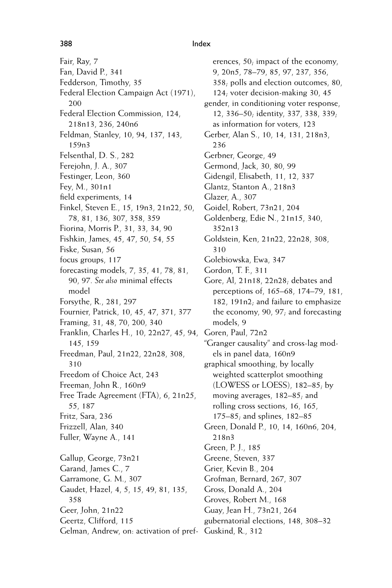Fair, Ray, 7 Fan, David P., 341 Fedderson, Timothy, 35 Federal Election Campaign Act (1971), 200 Federal Election Commission, 124, 218n13, 236, 240n6 Feldman, Stanley, 10, 94, 137, 143, 159n3 Felsenthal, D. S., 282 Ferejohn, J. A., 307 Festinger, Leon, 360 Fey, M., 301n1 field experiments, 14 Finkel, Steven E., 15, 19n3, 21n22, 50, 78, 81, 136, 307, 358, 359 Fiorina, Morris P., 31, 33, 34, 90 Fishkin, James, 45, 47, 50, 54, 55 Fiske, Susan, 56 focus groups, 117 forecasting models, 7, 35, 41, 78, 81, 90, 97. *See also* minimal effects model Forsythe, R., 281, 297 Fournier, Patrick, 10, 45, 47, 371, 377 Framing, 31, 48, 70, 200, 340 Franklin, Charles H., 10, 22n27, 45, 94, 145, 159 Freedman, Paul, 21n22, 22n28, 308, 310 Freedom of Choice Act, 243 Freeman, John R., 160n9 Free Trade Agreement (FTA), 6, 21n25, 55, 187 Fritz, Sara, 236 Frizzell, Alan, 340 Fuller, Wayne A., 141 Gallup, George, 73n21 Garand, James C., 7 Garramone, G. M., 307 Gaudet, Hazel, 4, 5, 15, 49, 81, 135, 358 Geer, John, 21n22 Geertz, Clifford, 115 Gelman, Andrew, on: activation of pref-Guskind, R., 312

erences, 50; impact of the economy, 9, 20n5, 78–79, 85, 97, 237, 356, 358; polls and election outcomes, 80, 124; voter decision-making 30, 45 gender, in conditioning voter response, 12, 336–50; identity, 337, 338, 339; as information for voters, 123 Gerber, Alan S., 10, 14, 131, 218n3, 236 Gerbner, George, 49 Germond, Jack, 30, 80, 99 Gidengil, Elisabeth, 11, 12, 337 Glantz, Stanton A., 218n3 Glazer, A., 307 Goidel, Robert, 73n21, 204 Goldenberg, Edie N., 21n15, 340, 352n13 Goldstein, Ken, 21n22, 22n28, 308, 310 Golebiowska, Ewa, 347 Gordon, T. F., 311 Gore, Al, 21n18, 22n28; debates and perceptions of, 165–68, 174–79, 181, 182, 191n2; and failure to emphasize the economy, 90, 97; and forecasting models, 9 Goren, Paul, 72n2 "Granger causality" and cross-lag models in panel data, 160n9 graphical smoothing, by locally weighted scatterplot smoothing (LOWESS or LOESS), 182–85; by moving averages, 182–85; and rolling cross sections, 16, 165, 175–85; and splines, 182–85 Green, Donald P., 10, 14, 160n6, 204, 218n3 Green, P. J., 185 Greene, Steven, 337 Grier, Kevin B., 204 Grofman, Bernard, 267, 307 Gross, Donald A., 204 Groves, Robert M., 168 Guay, Jean H., 73n21, 264 gubernatorial elections, 148, 308–32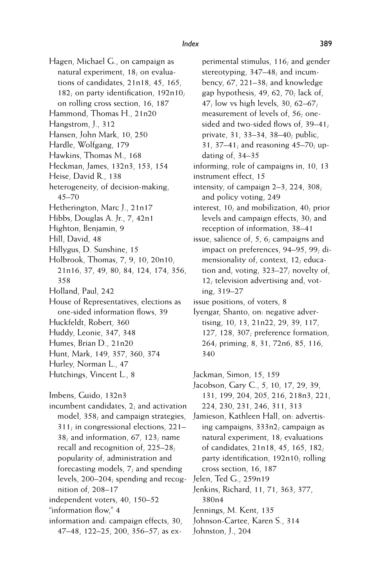Hagen, Michael G., on campaign as natural experiment, 18; on evaluations of candidates, 21n18, 45, 165,  $182$ ; on party identification,  $192n10$ ; on rolling cross section, 16, 187 Hammond, Thomas H., 21n20 Hangstrom, J., 312

- Hansen, John Mark, 10, 250
- Hardle, Wolfgang, 179
- Hawkins, Thomas M., 168
- Heckman, James, 132n3, 153, 154
- Heise, David R., 138
- heterogeneity, of decision-making, 45–70
- Hetherington, Marc J., 21n17
- Hibbs, Douglas A. Jr., 7, 42n1
- Highton, Benjamin, 9
- Hill, David, 48
- Hillygus, D. Sunshine, 15
- Holbrook, Thomas, 7, 9, 10, 20n10, 21n16, 37, 49, 80, 84, 124, 174, 356, 358
- Holland, Paul, 242
- House of Representatives, elections as one-sided information flows, 39
- Huckfeldt, Robert, 360
- Huddy, Leonie, 347, 348
- Humes, Brian D., 21n20
- Hunt, Mark, 149, 357, 360, 374
- Hurley, Norman L., 47
- Hutchings, Vincent L., 8
- Imbens, Guido, 132n3
- incumbent candidates, 2; and activation model, 358; and campaign strategies, 311; in congressional elections, 221– 38; and information,  $67$ ,  $123$ ; name recall and recognition of, 225–28; popularity of, administration and forecasting models, 7; and spending levels, 200–204; spending and recognition of, 208–17 independent voters, 40, 150–52
- "information flow," 4
- information and: campaign effects, 30, 47–48, 122–25, 200, 356–57; as ex-

perimental stimulus, 116; and gender stereotyping, 347–48; and incumbency, 67, 221–38; and knowledge gap hypothesis, 49, 62, 70; lack of, 47; low vs high levels, 30, 62–67; measurement of levels of, 56; onesided and two-sided flows of, 39-41; private, 31, 33–34, 38–40; public, 31, 37–41; and reasoning 45–70; updating of, 34–35 informing, role of campaigns in, 10, 13

- instrument effect, 15
- intensity, of campaign 2–3, 224, 308; and policy voting, 249
- interest, 10; and mobilization, 40; prior levels and campaign effects, 30; and reception of information, 38–41
- issue, salience of, 5, 6; campaigns and impact on preferences, 94–95, 99; dimensionality of, context, 12; education and, voting, 323–27; novelty of, 12; television advertising and, voting, 319–27
- issue positions, of voters, 8
- Iyengar, Shanto, on: negative advertising, 10, 13, 21n22, 29, 39, 117, 127, 128, 307; preference formation, 264; priming, 8, 31, 72n6, 85, 116, 340
- Jackman, Simon, 15, 159
- Jacobson, Gary C., 5, 10, 17, 29, 39, 131, 199, 204, 205, 216, 218n3, 221, 224, 230, 231, 246, 311, 313
- Jamieson, Kathleen Hall, on: advertising campaigns, 333n2; campaign as natural experiment, 18; evaluations of candidates, 21n18, 45, 165, 182; party identification, 192n10; rolling cross section, 16, 187
- Jelen, Ted G., 259n19
- Jenkins, Richard, 11, 71, 363, 377, 380n4
- Jennings, M. Kent, 135
- Johnson-Cartee, Karen S., 314
- Johnston, J., 204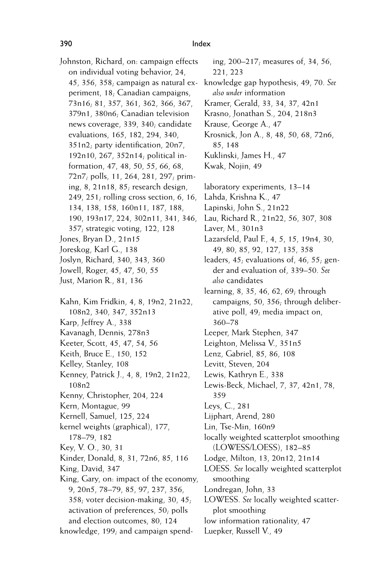Johnston, Richard, on: campaign effects on individual voting behavior, 24, 45, 356, 358; campaign as natural experiment, 18; Canadian campaigns, 73n16; 81, 357, 361, 362, 366, 367, 379n1, 380n6; Canadian television news coverage, 339, 340; candidate evaluations, 165, 182, 294, 340, 351n2; party identification, 20n7, 192n10, 267, 352n14; political information, 47, 48, 50, 55, 66, 68, 72n7; polls, 11, 264, 281, 297; priming, 8, 21n18, 85; research design, 249, 251; rolling cross section, 6, 16, 134, 138, 158, 160n11, 187, 188, 190, 193n17, 224, 302n11, 341, 346, 357; strategic voting, 122, 128 Jones, Bryan D., 21n15 Joreskog, Karl G., 138 Joslyn, Richard, 340, 343, 360 Jowell, Roger, 45, 47, 50, 55 Just, Marion R., 81, 136 Kahn, Kim Fridkin, 4, 8, 19n2, 21n22, 108n2, 340, 347, 352n13 Karp, Jeffrey A., 338 Kavanagh, Dennis, 278n3 Keeter, Scott, 45, 47, 54, 56 Keith, Bruce E., 150, 152 Kelley, Stanley, 108 Kenney, Patrick J., 4, 8, 19n2, 21n22, 108n2 Kenny, Christopher, 204, 224 Kern, Montague, 99 Kernell, Samuel, 125, 224 kernel weights (graphical), 177, 178–79, 182 Key, V. O., 30, 31 Kinder, Donald, 8, 31, 72n6, 85, 116 King, David, 347 King, Gary, on: impact of the economy, 9, 20n5, 78–79, 85, 97, 237, 356, 358; voter decision-making, 30, 45; activation of preferences, 50; polls and election outcomes, 80, 124 knowledge, 199; and campaign spend-

ing, 200–217; measures of, 34, 56, 221, 223 knowledge gap hypothesis, 49, 70. *See also under* information Kramer, Gerald, 33, 34, 37, 42n1 Krasno, Jonathan S., 204, 218n3 Krause, George A., 47 Krosnick, Jon A., 8, 48, 50, 68, 72n6, 85, 148 Kuklinski, James H., 47 Kwak, Nojin, 49 laboratory experiments, 13–14 Lahda, Krishna K., 47 Lapinski, John S., 21n22 Lau, Richard R., 21n22, 56, 307, 308 Laver, M., 301n3 Lazarsfeld, Paul F., 4, 5, 15, 19n4, 30, 49, 80, 85, 92, 127, 135, 358 leaders, 45; evaluations of, 46, 55; gender and evaluation of, 339–50. *See also* candidates learning, 8, 35, 46, 62, 69; through campaigns, 50, 356; through deliberative poll, 49; media impact on, 360–78 Leeper, Mark Stephen, 347 Leighton, Melissa V., 351n5 Lenz, Gabriel, 85, 86, 108 Levitt, Steven, 204 Lewis, Kathryn E., 338 Lewis-Beck, Michael, 7, 37, 42n1, 78, 359 Leys, C., 281 Lijphart, Arend, 280 Lin, Tse-Min, 160n9 locally weighted scatterplot smoothing (LOWESS/LOESS), 182–85 Lodge, Milton, 13, 20n12, 21n14 LOESS. *See* locally weighted scatterplot smoothing Londregan, John, 33 LOWESS. *See* locally weighted scatterplot smoothing low information rationality, 47 Luepker, Russell V., 49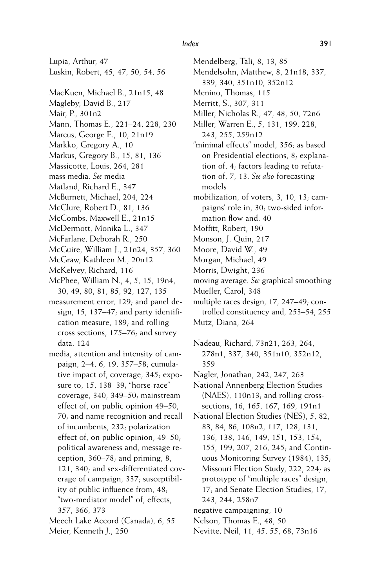Lupia, Arthur, 47 Luskin, Robert, 45, 47, 50, 54, 56 MacKuen, Michael B., 21n15, 48 Magleby, David B., 217 Mair, P., 301n2 Mann, Thomas E., 221–24, 228, 230 Marcus, George E., 10, 21n19 Markko, Gregory A., 10 Markus, Gregory B., 15, 81, 136 Massicotte, Louis, 264, 281 mass media. *See* media Matland, Richard E., 347 McBurnett, Michael, 204, 224 McClure, Robert D., 81, 136 McCombs, Maxwell E., 21n15 McDermott, Monika L., 347 McFarlane, Deborah R., 250 McGuire, William J., 21n24, 357, 360 McGraw, Kathleen M., 20n12 McKelvey, Richard, 116 McPhee, William N., 4, 5, 15, 19n4, 30, 49, 80, 81, 85, 92, 127, 135 measurement error, 129; and panel design,  $15$ ,  $137-47$ ; and party identification measure, 189; and rolling cross sections, 175–76; and survey data, 124 media, attention and intensity of cam-

- paign, 2–4, 6, 19, 357–58; cumulative impact of, coverage, 345; exposure to, 15, 138–39; "horse-race" coverage, 340, 349–50; mainstream effect of, on public opinion 49–50, 70; and name recognition and recall of incumbents, 232; polarization effect of, on public opinion, 49–50; political awareness and, message reception, 360–78; and priming, 8, 121, 340; and sex-differentiated coverage of campaign, 337; susceptibility of public influence from,  $48$ ; "two-mediator model" of, effects, 357, 366, 373
- Meech Lake Accord (Canada), 6, 55 Meier, Kenneth J., 250

Mendelsohn, Matthew, 8, 21n18, 337, 339, 340, 351n10, 352n12 Menino, Thomas, 115 Merritt, S., 307, 311 Miller, Nicholas R., 47, 48, 50, 72n6 Miller, Warren E., 5, 131, 199, 228, 243, 255, 259n12 "minimal effects" model, 356; as based on Presidential elections, 8; explanation of, 4; factors leading to refutation of, 7, 13. *See also* forecasting

models

Mendelberg, Tali, 8, 13, 85

- mobilization, of voters, 3, 10, 13; campaigns' role in, 30; two-sided information flow and, 40
- Moffitt, Robert, 190
- Monson, J. Quin, 217
- Moore, David W., 49
- Morgan, Michael, 49
- Morris, Dwight, 236

moving average. *See* graphical smoothing

- Mueller, Carol, 348 multiple races design, 17, 247–49; controlled constituency and, 253–54, 255
- Mutz, Diana, 264
- Nadeau, Richard, 73n21, 263, 264, 278n1, 337, 340, 351n10, 352n12, 359
- Nagler, Jonathan, 242, 247, 263
- National Annenberg Election Studies (NAES), 110n13; and rolling crosssections, 16, 165, 167, 169, 191n1
- National Election Studies (NES), 5, 82, 83, 84, 86, 108n2, 117, 128, 131, 136, 138, 146, 149, 151, 153, 154, 155, 199, 207, 216, 245; and Continuous Monitoring Survey (1984), 135; Missouri Election Study, 222, 224; as prototype of "multiple races" design, 17; and Senate Election Studies, 17, 243, 244, 258n7
- negative campaigning, 10
- Nelson, Thomas E., 48, 50
- Nevitte, Neil, 11, 45, 55, 68, 73n16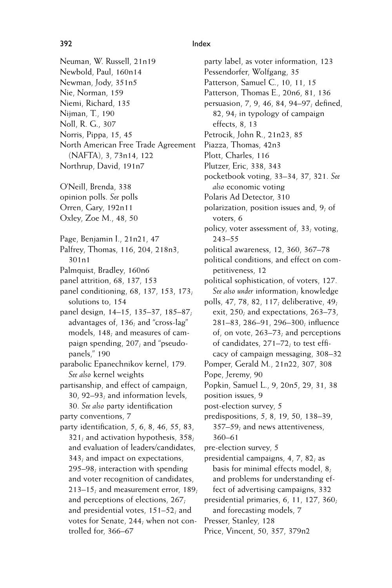- Neuman, W. Russell, 21n19 Newbold, Paul, 160n14 Newman, Jody, 351n5 Nie, Norman, 159 Niemi, Richard, 135 Nijman, T., 190 Noll, R. G., 307 Norris, Pippa, 15, 45 North American Free Trade Agreement (NAFTA), 3, 73n14, 122 Northrup, David, 191n7 O'Neill, Brenda, 338 opinion polls. *See* polls Orren, Gary, 192n11 Oxley, Zoe M., 48, 50
- Page, Benjamin I., 21n21, 47
- Palfrey, Thomas, 116, 204, 218n3, 301n1
- Palmquist, Bradley, 160n6
- panel attrition, 68, 137, 153
- panel conditioning, 68, 137, 153, 173; solutions to, 154
- panel design, 14–15, 135–37, 185–87; advantages of, 136; and "cross-lag" models, 148; and measures of campaign spending, 207; and "pseudopanels," 190
- parabolic Epanechnikov kernel, 179. *See also* kernel weights
- partisanship, and effect of campaign, 30, 92–93; and information levels,
- 30. See also party identification party conventions, 7
- party identification,  $5, 6, 8, 46, 55, 83$ , 321; and activation hypothesis, 358; and evaluation of leaders/candidates, 343; and impact on expectations, 295–98; interaction with spending and voter recognition of candidates, 213–15; and measurement error, 189; and perceptions of elections, 267; and presidential votes, 151–52; and votes for Senate, 244; when not controlled for, 366–67

party label, as voter information, 123 Pessendorfer, Wolfgang, 35 Patterson, Samuel C., 10, 11, 15 Patterson, Thomas E., 20n6, 81, 136 persuasion, 7, 9, 46, 84, 94–97; defined, 82, 94; in typology of campaign effects, 8, 13 Petrocik, John R., 21n23, 85 Piazza, Thomas, 42n3 Plott, Charles, 116 Plutzer, Eric, 338, 343 pocketbook voting, 33–34, 37, 321. *See also* economic voting Polaris Ad Detector, 310 polarization, position issues and, 9; of voters, 6 policy, voter assessment of,  $33$ ; voting, 243–55 political awareness, 12, 360, 367–78 political conditions, and effect on competitiveness, 12 political sophistication, of voters, 127. *See also under* information; knowledge polls, 47, 78, 82, 117; deliberative, 49; exit, 250; and expectations, 263-73, 281–83, 286–91, 296–300; inBuence of, on vote, 263–73; and perceptions of candidates,  $271-72$ ; to test efficacy of campaign messaging, 308–32 Pomper, Gerald M., 21n22, 307, 308 Pope, Jeremy, 90 Popkin, Samuel L., 9, 20n5, 29, 31, 38 position issues, 9 post-election survey, 5 predispositions, 5, 8, 19, 50, 138–39, 357–59; and news attentiveness, 360–61 pre-election survey, 5 presidential campaigns, 4, 7, 82; as basis for minimal effects model, 8; and problems for understanding effect of advertising campaigns, 332 presidential primaries, 6, 11, 127, 360; and forecasting models, 7 Presser, Stanley, 128

Price, Vincent, 50, 357, 379n2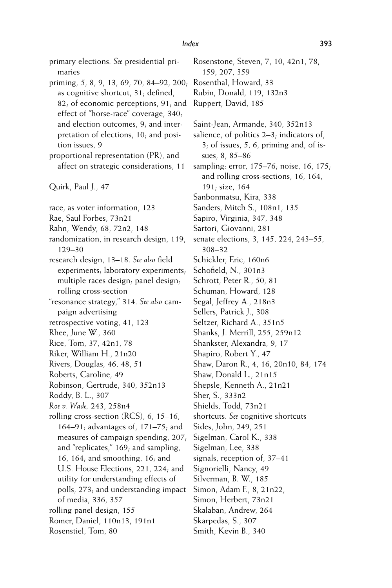primary elections. *See* presidential primaries priming, 5, 8, 9, 13, 69, 70, 84–92, 200; as cognitive shortcut, 31; defined,  $82$ ; of economic perceptions,  $91$ ; and effect of "horse-race" coverage, 340; and election outcomes, 9; and interpretation of elections, 10; and position issues, 9 proportional representation (PR), and affect on strategic considerations, 11 Quirk, Paul J., 47 race, as voter information, 123 Rae, Saul Forbes, 73n21 Rahn, Wendy, 68, 72n2, 148 randomization, in research design, 119, 129–30 research design, 13-18. See also field experiments; laboratory experiments; multiple races design; panel design; rolling cross-section "resonance strategy," 314. *See also* campaign advertising retrospective voting, 41, 123 Rhee, June W., 360 Rice, Tom, 37, 42n1, 78 Riker, William H., 21n20 Rivers, Douglas, 46, 48, 51 Roberts, Caroline, 49 Robinson, Gertrude, 340, 352n13 Roddy, B. L., 307 *Roe v. Wade,* 243, 258n4 rolling cross-section (RCS), 6, 15–16, 164–91; advantages of, 171–75; and measures of campaign spending, 207; and "replicates," 169; and sampling, 16, 164; and smoothing, 16; and U.S. House Elections, 221, 224; and utility for understanding effects of polls, 273; and understanding impact of media, 336, 357 rolling panel design, 155 Romer, Daniel, 110n13, 191n1 Rosenstiel, Tom, 80

159, 207, 359 Rosenthal, Howard, 33 Rubin, Donald, 119, 132n3 Ruppert, David, 185 Saint-Jean, Armande, 340, 352n13 salience, of politics 2–3; indicators of, 3; of issues, 5, 6, priming and, of issues, 8, 85–86 sampling: error, 175–76; noise, 16, 175; and rolling cross-sections, 16, 164, 191; size, 164 Sanbonmatsu, Kira, 338 Sanders, Mitch S., 108n1, 135 Sapiro, Virginia, 347, 348 Sartori, Giovanni, 281 senate elections, 3, 145, 224, 243–55, 308–32 Schickler, Eric, 160n6 Schofield, N., 301n3 Schrott, Peter R., 50, 81 Schuman, Howard, 128 Segal, Jeffrey A., 218n3 Sellers, Patrick J., 308 Seltzer, Richard A., 351n5 Shanks, J. Merrill, 255, 259n12 Shankster, Alexandra, 9, 17 Shapiro, Robert Y., 47 Shaw, Daron R., 4, 16, 20n10, 84, 174 Shaw, Donald L., 21n15 Shepsle, Kenneth A., 21n21 Sher, S., 333n2 Shields, Todd, 73n21 shortcuts. *See* cognitive shortcuts Sides, John, 249, 251 Sigelman, Carol K., 338 Sigelman, Lee, 338 signals, reception of, 37–41 Signorielli, Nancy, 49 Silverman, B. W., 185 Simon, Adam F., 8, 21n22, Simon, Herbert, 73n21 Skalaban, Andrew, 264

Rosenstone, Steven, 7, 10, 42n1, 78,

- Skarpedas, S., 307
- Smith, Kevin B., 340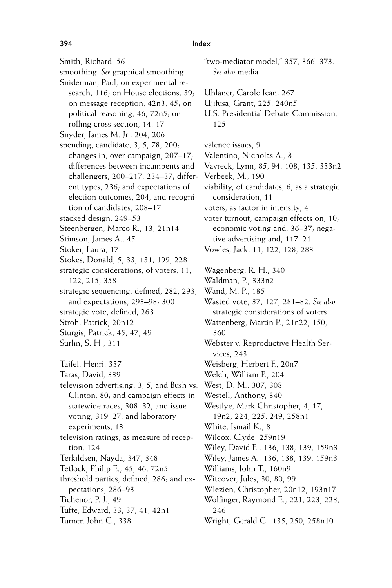Smith, Richard, 56 smoothing. *See* graphical smoothing Sniderman, Paul, on experimental research, 116; on House elections, 39; on message reception, 42n3, 45; on political reasoning, 46, 72n5; on rolling cross section, 14, 17 Snyder, James M. Jr., 204, 206 spending, candidate, 3, 5, 78, 200; changes in, over campaign, 207–17; differences between incumbents and challengers, 200–217, 234–37; different types, 236; and expectations of election outcomes, 204; and recognition of candidates, 208–17 stacked design, 249–53 Steenbergen, Marco R., 13, 21n14 Stimson, James A., 45 Stoker, Laura, 17 Stokes, Donald, 5, 33, 131, 199, 228 strategic considerations, of voters, 11, 122, 215, 358 strategic sequencing, defined,  $282$ ,  $293$ ; and expectations, 293–98; 300 strategic vote, defined, 263 Stroh, Patrick, 20n12 Sturgis, Patrick, 45, 47, 49 Surlin, S. H., 311 Tajfel, Henri, 337 Taras, David, 339 television advertising, 3, 5; and Bush vs. Clinton, 80; and campaign effects in statewide races, 308–32; and issue voting, 319–27; and laboratory experiments, 13 television ratings, as measure of reception, 124 Terkildsen, Nayda, 347, 348 Tetlock, Philip E., 45, 46, 72n5 threshold parties, defined,  $286$ ; and expectations, 286–93 Tichenor, P. J., 49 Tufte, Edward, 33, 37, 41, 42n1 Turner, John C., 338

*See also* media Uhlaner, Carole Jean, 267 Ujifusa, Grant, 225, 240n5 U.S. Presidential Debate Commission, 125 valence issues, 9 Valentino, Nicholas A., 8 Vavreck, Lynn, 85, 94, 108, 135, 333n2 Verbeek, M., 190 viability, of candidates, 6, as a strategic consideration, 11 voters, as factor in intensity, 4 voter turnout, campaign effects on, 10; economic voting and, 36–37; negative advertising and, 117–21 Vowles, Jack, 11, 122, 128, 283 Wagenberg, R. H., 340 Waldman, P., 333n2 Wand, M. P., 185 Wasted vote, 37, 127, 281–82. *See also* strategic considerations of voters Wattenberg, Martin P., 21n22, 150, 360 Webster v. Reproductive Health Services, 243 Weisberg, Herbert F., 20n7 Welch, William P., 204 West, D. M., 307, 308 Westell, Anthony, 340 Westlye, Mark Christopher, 4, 17, 19n2, 224, 225, 249, 258n1 White, Ismail K., 8 Wilcox, Clyde, 259n19 Wiley, David E., 136, 138, 139, 159n3 Wiley, James A., 136, 138, 139, 159n3 Williams, John T., 160n9 Witcover, Jules, 30, 80, 99 Wlezien, Christopher, 20n12, 193n17 Wolfinger, Raymond E., 221, 223, 228, 246 Wright, Gerald C., 135, 250, 258n10

"two-mediator model," 357, 366, 373.